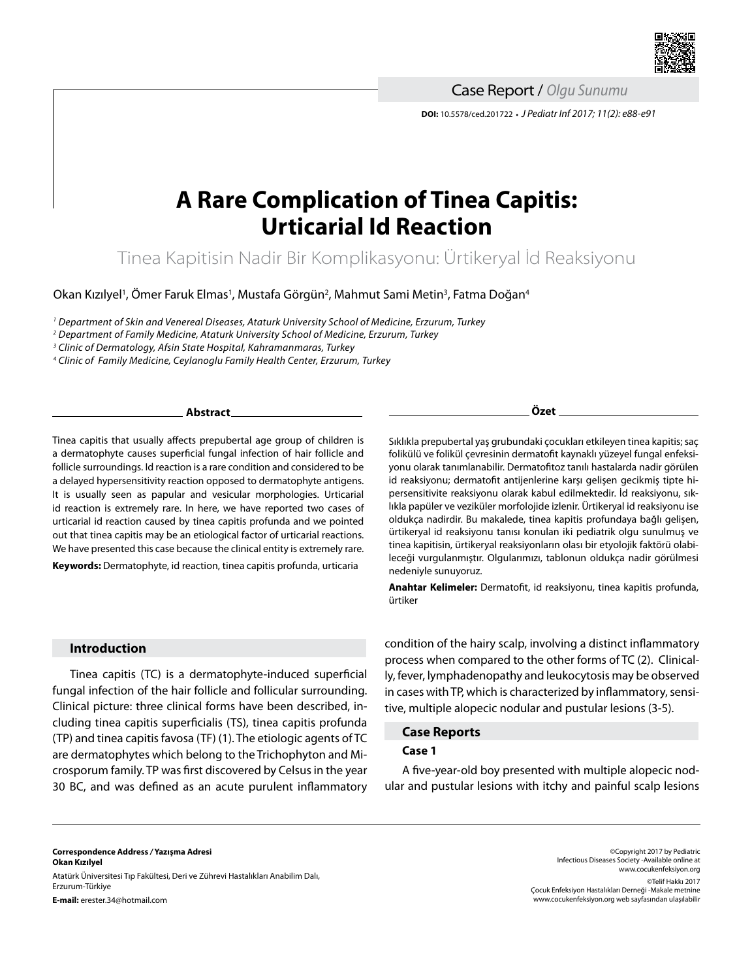

**DOI:** 10.5578/ced.201722 **•** *J Pediatr Inf 2017; 11(2): e88-e91* Case Report / *Olgu Sunumu*

# **A Rare Complication of Tinea Capitis: Urticarial Id Reaction**

Tinea Kapitisin Nadir Bir Komplikasyonu: Ürtikeryal İd Reaksiyonu

Okan Kızılyel', Ömer Faruk Elmas', Mustafa Görgün<sup>2</sup>, Mahmut Sami Metin<sup>3</sup>, Fatma Doğan<sup>4</sup>

*<sup>1</sup> Department of Skin and Venereal Diseases, Ataturk University School of Medicine, Erzurum, Turkey*

*2 Department of Family Medicine, Ataturk University School of Medicine, Erzurum, Turkey* 

*3 Clinic of Dermatology, Afsin State Hospital, Kahramanmaras, Turkey*

*4 Clinic of Family Medicine, Ceylanoglu Family Health Center, Erzurum, Turkey*

#### **Abstract**

Tinea capitis that usually affects prepubertal age group of children is a dermatophyte causes superficial fungal infection of hair follicle and follicle surroundings. Id reaction is a rare condition and considered to be a delayed hypersensitivity reaction opposed to dermatophyte antigens. It is usually seen as papular and vesicular morphologies. Urticarial id reaction is extremely rare. In here, we have reported two cases of urticarial id reaction caused by tinea capitis profunda and we pointed out that tinea capitis may be an etiological factor of urticarial reactions. We have presented this case because the clinical entity is extremely rare.

**Keywords:** Dermatophyte, id reaction, tinea capitis profunda, urticaria

**Özet**

Sıklıkla prepubertal yaş grubundaki çocukları etkileyen tinea kapitis; saç folikülü ve folikül çevresinin dermatofit kaynaklı yüzeyel fungal enfeksiyonu olarak tanımlanabilir. Dermatofitoz tanılı hastalarda nadir görülen id reaksiyonu; dermatofit antijenlerine karşı gelişen gecikmiş tipte hipersensitivite reaksiyonu olarak kabul edilmektedir. İd reaksiyonu, sıklıkla papüler ve veziküler morfolojide izlenir. Ürtikeryal id reaksiyonu ise oldukça nadirdir. Bu makalede, tinea kapitis profundaya bağlı gelişen, ürtikeryal id reaksiyonu tanısı konulan iki pediatrik olgu sunulmuş ve tinea kapitisin, ürtikeryal reaksiyonların olası bir etyolojik faktörü olabileceği vurgulanmıştır. Olgularımızı, tablonun oldukça nadir görülmesi nedeniyle sunuyoruz.

**Anahtar Kelimeler:** Dermatofit, id reaksiyonu, tinea kapitis profunda, ürtiker

## **Introduction**

Tinea capitis (TC) is a dermatophyte-induced superficial fungal infection of the hair follicle and follicular surrounding. Clinical picture: three clinical forms have been described, including tinea capitis superficialis (TS), tinea capitis profunda (TP) and tinea capitis favosa (TF) (1). The etiologic agents of TC are dermatophytes which belong to the Trichophyton and Microsporum family. TP was first discovered by Celsus in the year 30 BC, and was defined as an acute purulent inflammatory condition of the hairy scalp, involving a distinct inflammatory process when compared to the other forms of TC (2). Clinically, fever, lymphadenopathy and leukocytosis may be observed in cases with TP, which is characterized by inflammatory, sensitive, multiple alopecic nodular and pustular lesions (3-5).

## **Case Reports Case 1**

A five-year-old boy presented with multiple alopecic nodular and pustular lesions with itchy and painful scalp lesions

**Correspondence Address** */* **Yazışma Adresi Okan Kızılyel** Atatürk Üniversitesi Tıp Fakültesi, Deri ve Zührevi Hastalıkları Anabilim Dalı, Erzurum-Türkiye **E-mail:** erester.34@hotmail.com

©Copyright 2017 by Pediatric Infectious Diseases Society -Available online at www.cocukenfeksiyon.org ©Telif Hakkı 2017 Çocuk Enfeksiyon Hastalıkları Derneği -Makale metnine www.cocukenfeksiyon.org web sayfasından ulaşılabilir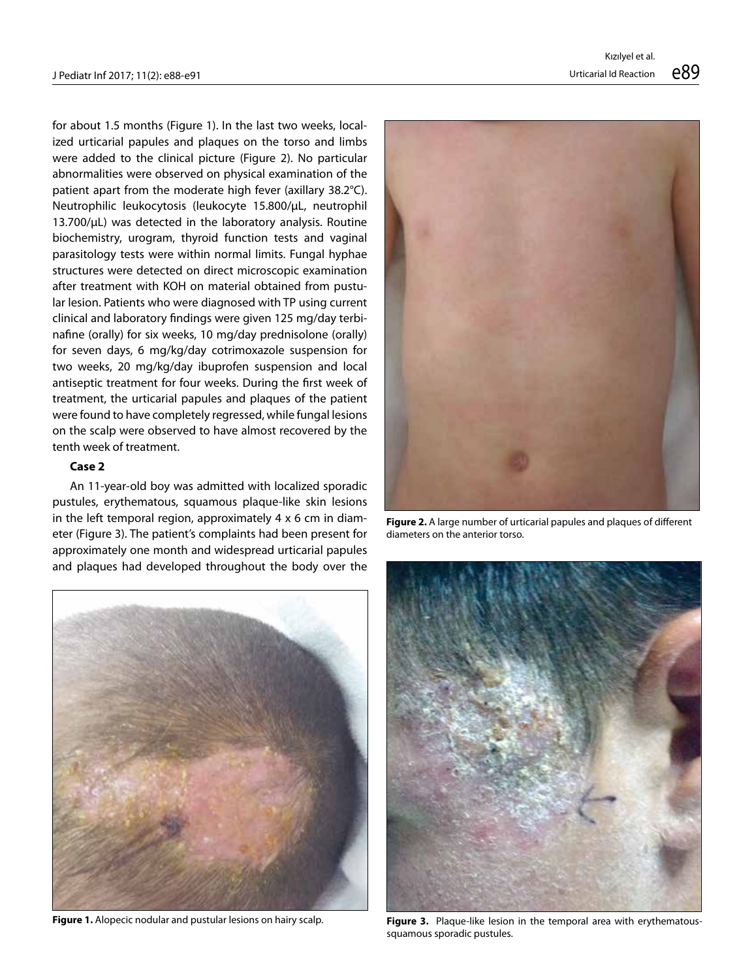for about 1.5 months (Figure 1). In the last two weeks, localized urticarial papules and plaques on the torso and limbs were added to the clinical picture (Figure 2). No particular abnormalities were observed on physical examination of the patient apart from the moderate high fever (axillary 38.2°C). Neutrophilic leukocytosis (leukocyte 15.800/μL, neutrophil 13.700/μL) was detected in the laboratory analysis. Routine biochemistry, urogram, thyroid function tests and vaginal parasitology tests were within normal limits. Fungal hyphae structures were detected on direct microscopic examination after treatment with KOH on material obtained from pustular lesion. Patients who were diagnosed with TP using current clinical and laboratory findings were given 125 mg/day terbinafine (orally) for six weeks, 10 mg/day prednisolone (orally) for seven days, 6 mg/kg/day cotrimoxazole suspension for two weeks, 20 mg/kg/day ibuprofen suspension and local antiseptic treatment for four weeks. During the first week of treatment, the urticarial papules and plaques of the patient were found to have completely regressed, while fungal lesions on the scalp were observed to have almost recovered by the tenth week of treatment.

#### **Case 2**

An 11-year-old boy was admitted with localized sporadic pustules, erythematous, squamous plaque-like skin lesions in the left temporal region, approximately 4 x 6 cm in diameter (Figure 3). The patient's complaints had been present for approximately one month and widespread urticarial papules and plaques had developed throughout the body over the



**Figure 1.** Alopecic nodular and pustular lesions on hairy scalp.



**Figure 2.** A large number of urticarial papules and plaques of different diameters on the anterior torso.



**Figure 3.** Plaque-like lesion in the temporal area with erythematoussquamous sporadic pustules.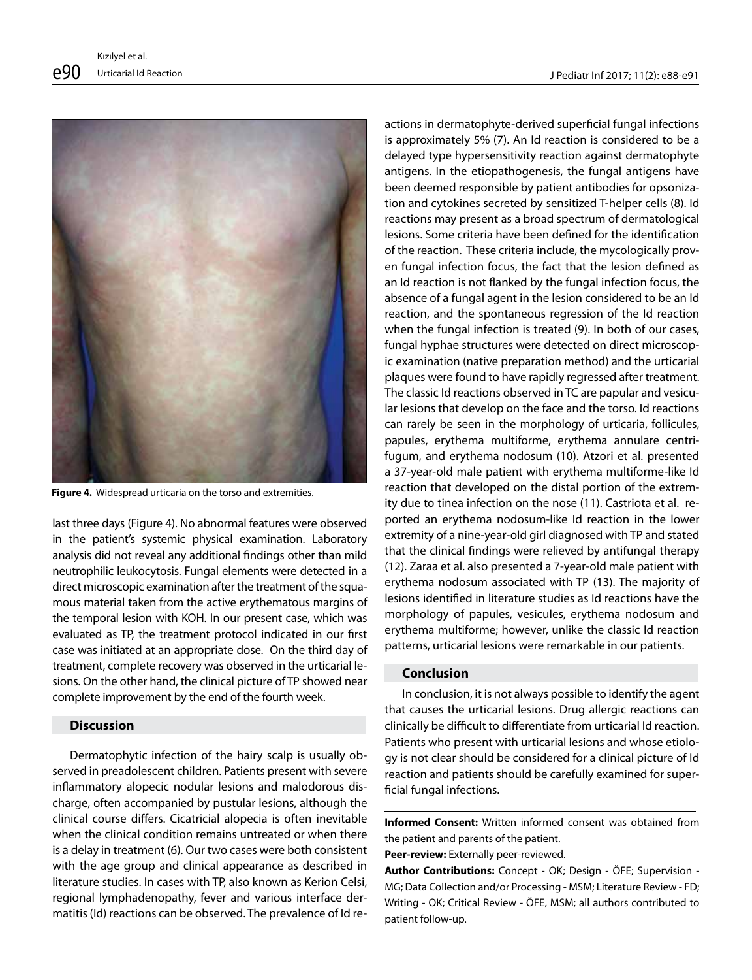

**Figure 4.** Widespread urticaria on the torso and extremities.

last three days (Figure 4). No abnormal features were observed in the patient's systemic physical examination. Laboratory analysis did not reveal any additional findings other than mild neutrophilic leukocytosis. Fungal elements were detected in a direct microscopic examination after the treatment of the squamous material taken from the active erythematous margins of the temporal lesion with KOH. In our present case, which was evaluated as TP, the treatment protocol indicated in our first case was initiated at an appropriate dose. On the third day of treatment, complete recovery was observed in the urticarial lesions. On the other hand, the clinical picture of TP showed near complete improvement by the end of the fourth week.

### **Discussion**

Dermatophytic infection of the hairy scalp is usually observed in preadolescent children. Patients present with severe inflammatory alopecic nodular lesions and malodorous discharge, often accompanied by pustular lesions, although the clinical course differs. Cicatricial alopecia is often inevitable when the clinical condition remains untreated or when there is a delay in treatment (6). Our two cases were both consistent with the age group and clinical appearance as described in literature studies. In cases with TP, also known as Kerion Celsi, regional lymphadenopathy, fever and various interface dermatitis (Id) reactions can be observed. The prevalence of Id reactions in dermatophyte-derived superficial fungal infections is approximately 5% (7). An Id reaction is considered to be a delayed type hypersensitivity reaction against dermatophyte antigens. In the etiopathogenesis, the fungal antigens have been deemed responsible by patient antibodies for opsonization and cytokines secreted by sensitized T-helper cells (8). Id reactions may present as a broad spectrum of dermatological lesions. Some criteria have been defined for the identification of the reaction. These criteria include, the mycologically proven fungal infection focus, the fact that the lesion defined as an Id reaction is not flanked by the fungal infection focus, the absence of a fungal agent in the lesion considered to be an Id reaction, and the spontaneous regression of the Id reaction when the fungal infection is treated (9). In both of our cases, fungal hyphae structures were detected on direct microscopic examination (native preparation method) and the urticarial plaques were found to have rapidly regressed after treatment. The classic Id reactions observed in TC are papular and vesicular lesions that develop on the face and the torso. Id reactions can rarely be seen in the morphology of urticaria, follicules, papules, erythema multiforme, erythema annulare centrifugum, and erythema nodosum (10). Atzori et al. presented a 37-year-old male patient with erythema multiforme-like Id reaction that developed on the distal portion of the extremity due to tinea infection on the nose (11). Castriota et al. reported an erythema nodosum-like Id reaction in the lower extremity of a nine-year-old girl diagnosed with TP and stated that the clinical findings were relieved by antifungal therapy (12). Zaraa et al. also presented a 7-year-old male patient with erythema nodosum associated with TP (13). The majority of lesions identified in literature studies as Id reactions have the morphology of papules, vesicules, erythema nodosum and erythema multiforme; however, unlike the classic Id reaction patterns, urticarial lesions were remarkable in our patients.

## **Conclusion**

l

In conclusion, it is not always possible to identify the agent that causes the urticarial lesions. Drug allergic reactions can clinically be difficult to differentiate from urticarial Id reaction. Patients who present with urticarial lesions and whose etiology is not clear should be considered for a clinical picture of Id reaction and patients should be carefully examined for superficial fungal infections.

**Informed Consent:** Written informed consent was obtained from the patient and parents of the patient.

**Peer-review:** Externally peer-reviewed.

**Author Contributions:** Concept - OK; Design - ÖFE; Supervision - MG; Data Collection and/or Processing - MSM; Literature Review - FD; Writing - OK; Critical Review - ÖFE, MSM; all authors contributed to patient follow-up.